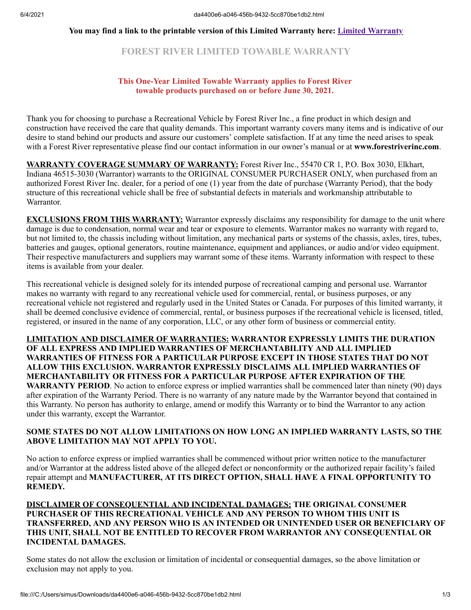#### **You may find a link to the printable version of this Limited Warranty here: [Limited Warranty](https://forestriverinc.com/Owners/Warranty-Information)**

# **FOREST RIVER LIMITED TOWABLE WARRANTY**

### **This One-Year Limited Towable Warranty applies to Forest River towable products purchased on or before June 30, 2021.**

Thank you for choosing to purchase a Recreational Vehicle by Forest River Inc., a fine product in which design and construction have received the care that quality demands. This important warranty covers many items and is indicative of our desire to stand behind our products and assure our customers' complete satisfaction. If at any time the need arises to speak with a Forest River representative please find our contact information in our owner's manual or at **www.forestriverinc.com**.

**WARRANTY COVERAGE SUMMARY OF WARRANTY:** Forest River Inc., 55470 CR 1, P.O. Box 3030, Elkhart, Indiana 46515-3030 (Warrantor) warrants to the ORIGINAL CONSUMER PURCHASER ONLY, when purchased from an authorized Forest River Inc. dealer, for a period of one (1) year from the date of purchase (Warranty Period), that the body structure of this recreational vehicle shall be free of substantial defects in materials and workmanship attributable to Warrantor.

**EXCLUSIONS FROM THIS WARRANTY:** Warrantor expressly disclaims any responsibility for damage to the unit where damage is due to condensation, normal wear and tear or exposure to elements. Warrantor makes no warranty with regard to, but not limited to, the chassis including without limitation, any mechanical parts or systems of the chassis, axles, tires, tubes, batteries and gauges, optional generators, routine maintenance, equipment and appliances, or audio and/or video equipment. Their respective manufacturers and suppliers may warrant some of these items. Warranty information with respect to these items is available from your dealer.

This recreational vehicle is designed solely for its intended purpose of recreational camping and personal use. Warrantor makes no warranty with regard to any recreational vehicle used for commercial, rental, or business purposes, or any recreational vehicle not registered and regularly used in the United States or Canada. For purposes of this limited warranty, it shall be deemed conclusive evidence of commercial, rental, or business purposes if the recreational vehicle is licensed, titled, registered, or insured in the name of any corporation, LLC, or any other form of business or commercial entity.

**LIMITATION AND DISCLAIMER OF WARRANTIES: WARRANTOR EXPRESSLY LIMITS THE DURATION OF ALL EXPRESS AND IMPLIED WARRANTIES OF MERCHANTABILITY AND ALL IMPLIED WARRANTIES OF FITNESS FOR A PARTICULAR PURPOSE EXCEPT IN THOSE STATES THAT DO NOT ALLOW THIS EXCLUSION. WARRANTOR EXPRESSLY DISCLAIMS ALL IMPLIED WARRANTIES OF MERCHANTABILITY OR FITNESS FOR A PARTICULAR PURPOSE AFTER EXPIRATION OF THE WARRANTY PERIOD**. No action to enforce express or implied warranties shall be commenced later than ninety (90) days after expiration of the Warranty Period. There is no warranty of any nature made by the Warrantor beyond that contained in this Warranty. No person has authority to enlarge, amend or modify this Warranty or to bind the Warrantor to any action under this warranty, except the Warrantor.

## **SOME STATES DO NOT ALLOW LIMITATIONS ON HOW LONG AN IMPLIED WARRANTY LASTS, SO THE ABOVE LIMITATION MAY NOT APPLY TO YOU.**

No action to enforce express or implied warranties shall be commenced without prior written notice to the manufacturer and/or Warrantor at the address listed above of the alleged defect or nonconformity or the authorized repair facility's failed repair attempt and **MANUFACTURER, AT ITS DIRECT OPTION, SHALL HAVE A FINAL OPPORTUNITY TO REMEDY.** 

## **DISCLAIMER OF CONSEQUENTIAL AND INCIDENTAL DAMAGES: THE ORIGINAL CONSUMER PURCHASER OF THIS RECREATIONAL VEHICLE AND ANY PERSON TO WHOM THIS UNIT IS TRANSFERRED, AND ANY PERSON WHO IS AN INTENDED OR UNINTENDED USER OR BENEFICIARY OF THIS UNIT, SHALL NOT BE ENTITLED TO RECOVER FROM WARRANTOR ANY CONSEQUENTIAL OR INCIDENTAL DAMAGES.**

Some states do not allow the exclusion or limitation of incidental or consequential damages, so the above limitation or exclusion may not apply to you.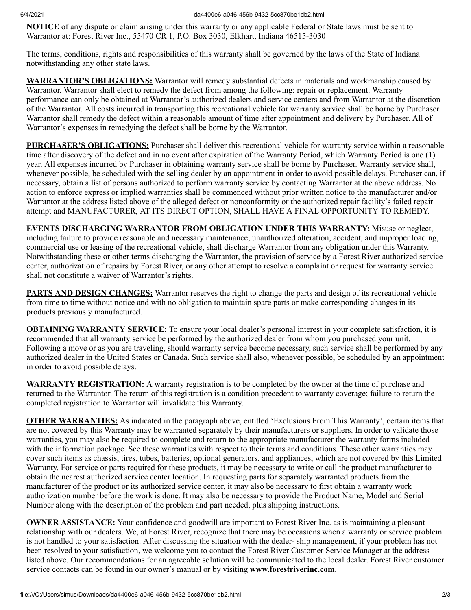**NOTICE** of any dispute or claim arising under this warranty or any applicable Federal or State laws must be sent to Warrantor at: Forest River Inc., 55470 CR 1, P.O. Box 3030, Elkhart, Indiana 46515-3030

The terms, conditions, rights and responsibilities of this warranty shall be governed by the laws of the State of Indiana notwithstanding any other state laws.

**WARRANTOR'S OBLIGATIONS:** Warrantor will remedy substantial defects in materials and workmanship caused by Warrantor. Warrantor shall elect to remedy the defect from among the following: repair or replacement. Warranty performance can only be obtained at Warrantor's authorized dealers and service centers and from Warrantor at the discretion of the Warrantor. All costs incurred in transporting this recreational vehicle for warranty service shall be borne by Purchaser. Warrantor shall remedy the defect within a reasonable amount of time after appointment and delivery by Purchaser. All of Warrantor's expenses in remedying the defect shall be borne by the Warrantor.

**PURCHASER'S OBLIGATIONS:** Purchaser shall deliver this recreational vehicle for warranty service within a reasonable time after discovery of the defect and in no event after expiration of the Warranty Period, which Warranty Period is one (1) year. All expenses incurred by Purchaser in obtaining warranty service shall be borne by Purchaser. Warranty service shall, whenever possible, be scheduled with the selling dealer by an appointment in order to avoid possible delays. Purchaser can, if necessary, obtain a list of persons authorized to perform warranty service by contacting Warrantor at the above address. No action to enforce express or implied warranties shall be commenced without prior written notice to the manufacturer and/or Warrantor at the address listed above of the alleged defect or nonconformity or the authorized repair facility's failed repair attempt and MANUFACTURER, AT ITS DIRECT OPTION, SHALL HAVE A FINAL OPPORTUNITY TO REMEDY.

**EVENTS DISCHARGING WARRANTOR FROM OBLIGATION UNDER THIS WARRANTY:** Misuse or neglect, including failure to provide reasonable and necessary maintenance, unauthorized alteration, accident, and improper loading, commercial use or leasing of the recreational vehicle, shall discharge Warrantor from any obligation under this Warranty. Notwithstanding these or other terms discharging the Warrantor, the provision of service by a Forest River authorized service center, authorization of repairs by Forest River, or any other attempt to resolve a complaint or request for warranty service shall not constitute a waiver of Warrantor's rights.

**PARTS AND DESIGN CHANGES:** Warrantor reserves the right to change the parts and design of its recreational vehicle from time to time without notice and with no obligation to maintain spare parts or make corresponding changes in its products previously manufactured.

**OBTAINING WARRANTY SERVICE:** To ensure your local dealer's personal interest in your complete satisfaction, it is recommended that all warranty service be performed by the authorized dealer from whom you purchased your unit. Following a move or as you are traveling, should warranty service become necessary, such service shall be performed by any authorized dealer in the United States or Canada. Such service shall also, whenever possible, be scheduled by an appointment in order to avoid possible delays.

**WARRANTY REGISTRATION:** A warranty registration is to be completed by the owner at the time of purchase and returned to the Warrantor. The return of this registration is a condition precedent to warranty coverage; failure to return the completed registration to Warrantor will invalidate this Warranty.

**OTHER WARRANTIES:** As indicated in the paragraph above, entitled 'Exclusions From This Warranty', certain items that are not covered by this Warranty may be warranted separately by their manufacturers or suppliers. In order to validate those warranties, you may also be required to complete and return to the appropriate manufacturer the warranty forms included with the information package. See these warranties with respect to their terms and conditions. These other warranties may cover such items as chassis, tires, tubes, batteries, optional generators, and appliances, which are not covered by this Limited Warranty. For service or parts required for these products, it may be necessary to write or call the product manufacturer to obtain the nearest authorized service center location. In requesting parts for separately warranted products from the manufacturer of the product or its authorized service center, it may also be necessary to first obtain a warranty work authorization number before the work is done. It may also be necessary to provide the Product Name, Model and Serial Number along with the description of the problem and part needed, plus shipping instructions.

**OWNER ASSISTANCE:** Your confidence and goodwill are important to Forest River Inc. as is maintaining a pleasant relationship with our dealers. We, at Forest River, recognize that there may be occasions when a warranty or service problem is not handled to your satisfaction. After discussing the situation with the dealer- ship management, if your problem has not been resolved to your satisfaction, we welcome you to contact the Forest River Customer Service Manager at the address listed above. Our recommendations for an agreeable solution will be communicated to the local dealer. Forest River customer service contacts can be found in our owner's manual or by visiting **www.forestriverinc.com**.